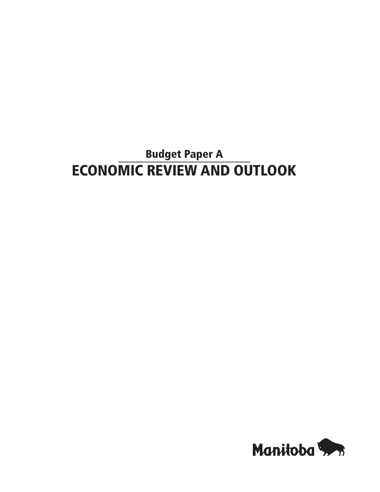# Budget Paper A ECONOMIC REVIEW AND OUTLOOK

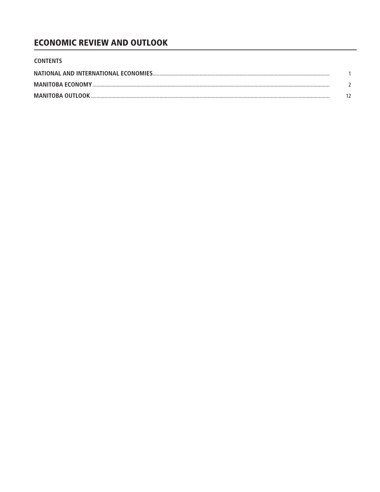## **ECONOMIC REVIEW AND OUTLOOK**

| <b>CONTENTS</b>         |  |
|-------------------------|--|
|                         |  |
| <b>MANITOBA ECONOMY</b> |  |
|                         |  |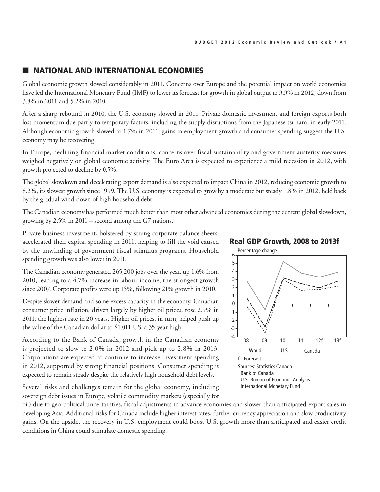## **NATIONAL AND INTERNATIONAL ECONOMIES**

Global economic growth slowed considerably in 2011. Concerns over Europe and the potential impact on world economies have led the International Monetary Fund (IMF) to lower its forecast for growth in global output to 3.3% in 2012, down from 3.8% in 2011 and 5.2% in 2010.

After a sharp rebound in 2010, the U.S. economy slowed in 2011. Private domestic investment and foreign exports both lost momentum due partly to temporary factors, including the supply disruptions from the Japanese tsunami in early 2011. Although economic growth slowed to 1.7% in 2011, gains in employment growth and consumer spending suggest the U.S. economy may be recovering.

In Europe, declining financial market conditions, concerns over fiscal sustainability and government austerity measures weighed negatively on global economic activity. The Euro Area is expected to experience a mild recession in 2012, with growth projected to decline by 0.5%.

The global slowdown and decelerating export demand is also expected to impact China in 2012, reducing economic growth to 8.2%, its slowest growth since 1999. The U.S. economy is expected to grow by a moderate but steady 1.8% in 2012, held back by the gradual wind-down of high household debt.

The Canadian economy has performed much better than most other advanced economies during the current global slowdown, growing by 2.5% in 2011 – second among the G7 nations.

Private business investment, bolstered by strong corporate balance sheets, accelerated their capital spending in 2011, helping to fill the void caused by the unwinding of government fiscal stimulus programs. Household spending growth was also lower in 2011.

The Canadian economy generated 265,200 jobs over the year, up 1.6% from 2010, leading to a 4.7% increase in labour income, the strongest growth since 2007. Corporate profits were up 15%, following 21% growth in 2010.

Despite slower demand and some excess capacity in the economy, Canadian consumer price inflation, driven largely by higher oil prices, rose 2.9% in 2011, the highest rate in 20 years. Higher oil prices, in turn, helped push up the value of the Canadian dollar to \$1.011 US, a 35-year high.

According to the Bank of Canada, growth in the Canadian economy is projected to slow to 2.0% in 2012 and pick up to 2.8% in 2013. Corporations are expected to continue to increase investment spending in 2012, supported by strong financial positions. Consumer spending is expected to remain steady despite the relatively high household debt levels.

Several risks and challenges remain for the global economy, including sovereign debt issues in Europe, volatile commodity markets (especially for

Real GDP Growth, 2008 to 2013f



oil) due to geo-political uncertainties, fiscal adjustments in advance economies and slower than anticipated export sales in developing Asia. Additional risks for Canada include higher interest rates, further currency appreciation and slow productivity gains. On the upside, the recovery in U.S. employment could boost U.S. growth more than anticipated and easier credit conditions in China could stimulate domestic spending. nore than anticipal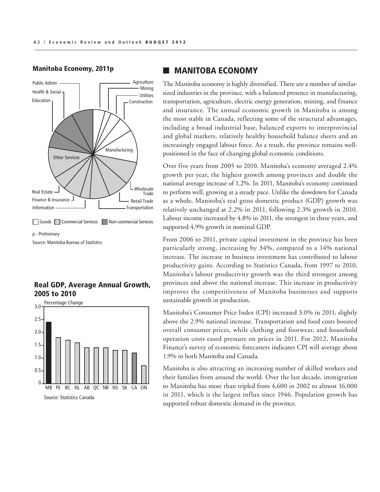#### Manitoba Economy, 2011p



p - Preliminary

Source: Manitoba Bureau of Statistics

#### Real GDP, Average Annual Growth, 2005 to 2010 Created: March 20, 2012



## **MANITOBA ECONOMY**

The Manitoba economy is highly diversified. There are a number of similarsized industries in the province, with a balanced presence in manufacturing, transportation, agriculture, electric energy generation, mining, and finance and insurance. The annual economic growth in Manitoba is among the most stable in Canada, reflecting some of the structural advantages, including a broad industrial base, balanced exports to interprovincial and global markets, relatively healthy household balance sheets and an increasingly engaged labour force. As a result, the province remains wellpositioned in the face of changing global economic conditions.

Over five years from 2005 to 2010, Manitoba's economy averaged 2.4% growth per year, the highest growth among provinces and double the national average increase of 1.2%. In 2011, Manitoba's economy continued to perform well, growing at a steady pace. Unlike the slowdown for Canada as a whole, Manitoba's real gross domestic product (GDP) growth was relatively unchanged at 2.2% in 2011, following 2.3% growth in 2010. Labour income increased by 4.8% in 2011, the strongest in three years, and supported 4.9% growth in nominal GDP.

From 2006 to 2011, private capital investment in the province has been particularly strong, increasing by 34%, compared to a 14% national increase. The increase in business investment has contributed to labour productivity gains. According to Statistics Canada, from 1997 to 2010, Manitoba's labour productivity growth was the third strongest among provinces and above the national increase. This increase in productivity improves the competitiveness of Manitoba businesses and supports sustainable growth in production.

Manitoba's Consumer Price Index (CPI) increased 3.0% in 2011, slightly above the 2.9% national increase. Transportation and food costs boosted overall consumer prices, while clothing and footwear, and household operation costs eased pressure on prices in 2011. For 2012, Manitoba Finance's survey of economic forecasters indicates CPI will average about 1.9% in both Manitoba and Canada.

Manitoba is also attracting an increasing number of skilled workers and their families from around the world. Over the last decade, immigration to Manitoba has more than tripled from 4,600 in 2002 to almost 16,000 in 2011, which is the largest influx since 1946. Population growth has supported robust domestic demand in the province.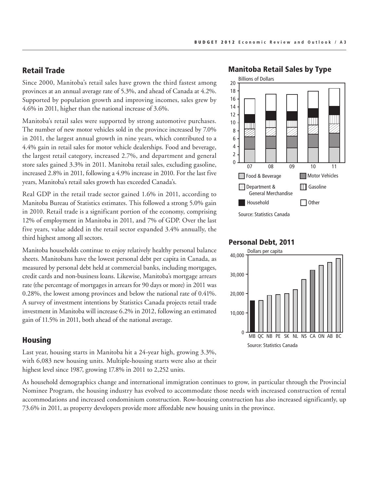#### Retail Trade

Since 2000, Manitoba's retail sales have grown the third fastest among provinces at an annual average rate of 5.3%, and ahead of Canada at 4.2%. Supported by population growth and improving incomes, sales grew by 4.6% in 2011, higher than the national increase of 3.6%.

Manitoba's retail sales were supported by strong automotive purchases. The number of new motor vehicles sold in the province increased by 7.0% in 2011, the largest annual growth in nine years, which contributed to a 4.4% gain in retail sales for motor vehicle dealerships. Food and beverage, the largest retail category, increased 2.7%, and department and general store sales gained 3.3% in 2011. Manitoba retail sales, excluding gasoline, increased 2.8% in 2011, following a 4.9% increase in 2010. For the last five years, Manitoba's retail sales growth has exceeded Canada's.

Real GDP in the retail trade sector gained 1.6% in 2011, according to Manitoba Bureau of Statistics estimates. This followed a strong 5.0% gain in 2010. Retail trade is a significant portion of the economy, comprising 12% of employment in Manitoba in 2011, and 7% of GDP. Over the last five years, value added in the retail sector expanded 3.4% annually, the third highest among all sectors.

Manitoba households continue to enjoy relatively healthy personal balance sheets. Manitobans have the lowest personal debt per capita in Canada, as measured by personal debt held at commercial banks, including mortgages, credit cards and non-business loans. Likewise, Manitoba's mortgage arrears rate (the percentage of mortgages in arrears for 90 days or more) in 2011 was 0.28%, the lowest among provinces and below the national rate of 0.41%. A survey of investment intentions by Statistics Canada projects retail trade investment in Manitoba will increase 6.2% in 2012, following an estimated gain of 11.5% in 2011, both ahead of the national average.

#### Housing

Last year, housing starts in Manitoba hit a 24-year high, growing 3.3%, with 6,083 new housing units. Multiple-housing starts were also at their highest level since 1987, growing 17.8% in 2011 to 2,252 units.

As household demographics change and international immigration continues to grow, in particular through the Provincial Nominee Program, the housing industry has evolved to accommodate those needs with increased construction of rental accommodations and increased condominium construction. Row-housing construction has also increased significantly, up 73.6% in 2011, as property developers provide more affordable new housing units in the province.

#### Manitoba Retail Sales by Type



#### Personal Debt, 2011

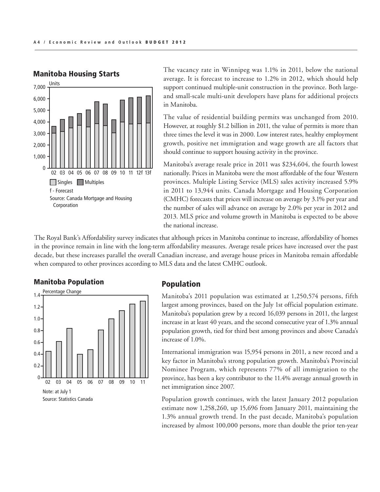

## Manitoba Housing Starts

The vacancy rate in Winnipeg was 1.1% in 2011, below the national average. It is forecast to increase to 1.2% in 2012, which should help support continued multiple-unit construction in the province. Both largeand small-scale multi-unit developers have plans for additional projects in Manitoba.

The value of residential building permits was unchanged from 2010. However, at roughly \$1.2 billion in 2011, the value of permits is more than three times the level it was in 2000. Low interest rates, healthy employment growth, positive net immigration and wage growth are all factors that should continue to support housing activity in the province.

Manitoba's average resale price in 2011 was \$234,604, the fourth lowest nationally. Prices in Manitoba were the most affordable of the four Western provinces. Multiple Listing Service (MLS) sales activity increased 5.9% in 2011 to 13,944 units. Canada Mortgage and Housing Corporation (CMHC) forecasts that prices will increase on average by 3.1% per year and the number of sales will advance on average by 2.0% per year in 2012 and 2013. MLS price and volume growth in Manitoba is expected to be above the national increase.

The Royal Bank's Affordability survey indicates that although prices in Manitoba continue to increase, affordability of homes in the province remain in line with the long-term affordability measures. Average resale prices have increased over the past decade, but these increases parallel the overall Canadian increase, and average house prices in Manitoba remain affordable when compared to other provinces according to MLS data and the latest CMHC outlook.

#### **Manitoba Population** rong i



## Population

Manitoba's 2011 population was estimated at 1,250,574 persons, fifth largest among provinces, based on the July 1st official population estimate. Manitoba's population grew by a record 16,039 persons in 2011, the largest increase in at least 40 years, and the second consecutive year of 1.3% annual population growth, tied for third best among provinces and above Canada's increase of 1.0%.

International immigration was 15,954 persons in 2011, a new record and a key factor in Manitoba's strong population growth. Manitoba's Provincial Nominee Program, which represents 77% of all immigration to the province, has been a key contributor to the 11.4% average annual growth in net immigration since 2007.

Population growth continues, with the latest January 2012 population estimate now 1,258,260, up 15,696 from January 2011, maintaining the 1.3% annual growth trend. In the past decade, Manitoba's population increased by almost 100,000 persons, more than double the prior ten-year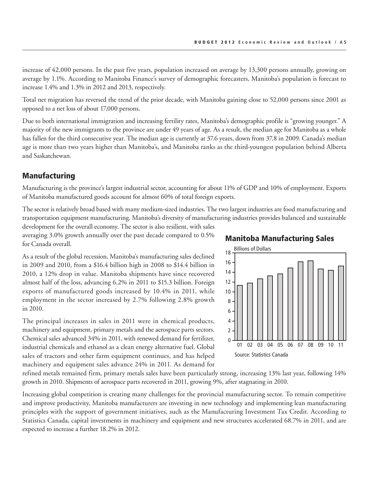increase of 42,000 persons. In the past five years, population increased on average by 13,300 persons annually, growing on average by 1.1%. According to Manitoba Finance's survey of demographic forecasters, Manitoba's population is forecast to increase 1.4% and 1.3% in 2012 and 2013, respectively.

Total net migration has reversed the trend of the prior decade, with Manitoba gaining close to 52,000 persons since 2001 as opposed to a net loss of about 17,000 persons.

Due to both international immigration and increasing fertility rates, Manitoba's demographic profile is "growing younger." A majority of the new immigrants to the province are under 49 years of age. As a result, the median age for Manitoba as a whole has fallen for the third consecutive year. The median age is currently at 37.6 years, down from 37.8 in 2009. Canada's median age is more than two years higher than Manitoba's, and Manitoba ranks as the third-youngest population behind Alberta and Saskatchewan.

#### Manufacturing

Manufacturing is the province's largest industrial sector, accounting for about 11% of GDP and 10% of employment. Exports of Manitoba manufactured goods account for almost 60% of total foreign exports.

The sector is relatively broad based with many medium-sized industries. The two largest industries are food manufacturing and transportation equipment manufacturing. Manitoba's diversity of manufacturing industries provides balanced and sustainable

development for the overall economy. The sector is also resilient, with sales averaging 3.0% growth annually over the past decade compared to 0.5% for Canada overall.

As a result of the global recession, Manitoba's manufacturing sales declined in 2009 and 2010, from a \$16.4 billion high in 2008 to \$14.4 billion in 2010, a 12% drop in value. Manitoba shipments have since recovered almost half of the loss, advancing 6.2% in 2011 to \$15.3 billion. Foreign exports of manufactured goods increased by 10.4% in 2011, while employment in the sector increased by 2.7% following 2.8% growth in 2010.

The principal increases in sales in 2011 were in chemical products, machinery and equipment, primary metals and the aerospace parts sectors. Chemical sales advanced 34% in 2011, with renewed demand for fertilizer, industrial chemicals and ethanol as a clean energy alternative fuel. Global sales of tractors and other farm equipment continues, and has helped machinery and equipment sales advance 24% in 2011. As demand for





refined metals remained firm, primary metals sales have been particularly strong, increasing 13% last year, following 14% growth in 2010. Shipments of aerospace parts recovered in 2011, growing 9%, after stagnating in 2010.

Increasing global competition is creating many challenges for the provincial manufacturing sector. To remain competitive and improve productivity, Manitoba manufacturers are investing in new technology and implementing lean manufacturing principles with the support of government initiatives, such as the Manufacturing Investment Tax Credit. According to statistics Canada, capital investments in machinery and equipment and new structures accelerated 68.7% in 2011, and are expected to increase a further 18.2% in 2012. retures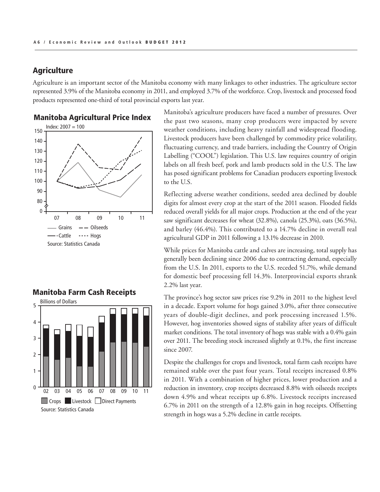## **Agriculture**

Agriculture is an important sector of the Manitoba economy with many linkages to other industries. The agriculture sector represented 3.9% of the Manitoba economy in 2011, and employed 3.7% of the workforce. Crop, livestock and processed food products represented one-third of total provincial exports last year.

#### Manitoba Agricultural Price Index



## the past two seasons, many crop producers were impacted by severe weather conditions, including heavy rainfall and widespread flooding. Livestock producers have been challenged by commodity price volatility, fluctuating currency, and trade barriers, including the Country of Origin Labelling ("COOL") legislation. This U.S. law requires country of origin labels on all fresh beef, pork and lamb products sold in the U.S. The law has posed significant problems for Canadian producers exporting livestock to the U.S.

Manitoba's agriculture producers have faced a number of pressures. Over

Reflecting adverse weather conditions, seeded area declined by double digits for almost every crop at the start of the 2011 season. Flooded fields reduced overall yields for all major crops. Production at the end of the year saw significant decreases for wheat (32.8%), canola (25.3%), oats (36.5%), and barley (46.4%). This contributed to a 14.7% decline in overall real agricultural GDP in 2011 following a 13.1% decrease in 2010.

While prices for Manitoba cattle and calves are increasing, total supply has generally been declining since 2006 due to contracting demand, especially from the U.S. In 2011, exports to the U.S. receded 51.7%, while demand for domestic beef processing fell 14.3%. Interprovincial exports shrank 2.2% last year.

The province's hog sector saw prices rise 9.2% in 2011 to the highest level in a decade. Export volume for hogs gained 3.0%, after three consecutive years of double-digit declines, and pork processing increased 1.5%. However, hog inventories showed signs of stability after years of difficult market conditions. The total inventory of hogs was stable with a 0.4% gain over 2011. The breeding stock increased slightly at 0.1%, the first increase since 2007.

Despite the challenges for crops and livestock, total farm cash receipts have remained stable over the past four years. Total receipts increased 0.8% in 2011. With a combination of higher prices, lower production and a reduction in inventory, crop receipts decreased 8.8% with oilseeds receipts down 4.9% and wheat receipts up 6.8%. Livestock receipts increased 6.7% in 2011 on the strength of a 12.8% gain in hog receipts. Offsetting strength in hogs was a 5.2% decline in cattle receipts.



Billions of Dollars<br>
2012

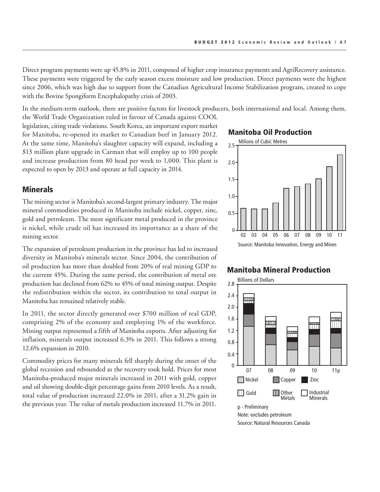Direct program payments were up 45.8% in 2011, composed of higher crop insurance payments and AgriRecovery assistance. These payments were triggered by the early season excess moisture and low production. Direct payments were the highest since 2006, which was high due to support from the Canadian Agricultural Income Stabilization program, created to cope with the Bovine Spongiform Encephalopathy crisis of 2003.

In the medium-term outlook, there are positive factors for livestock producers, both international and local. Among them, the World Trade Organization ruled in favour of Canada against COOL

legislation, citing trade violations. South Korea, an important export market for Manitoba, re-opened its market to Canadian beef in January 2012. At the same time, Manitoba's slaughter capacity will expand, including a \$13 million plant upgrade in Carman that will employ up to 100 people and increase production from 80 head per week to 1,000. This plant is expected to open by 2013 and operate at full capacity in 2014.

#### **Minerals**

The mining sector is Manitoba's second-largest primary industry. The major mineral commodities produced in Manitoba include nickel, copper, zinc, gold and petroleum. The most significant metal produced in the province is nickel, while crude oil has increased its importance as a share of the mining sector.

The expansion of petroleum production in the province has led to increased diversity in Manitoba's minerals sector. Since 2004, the contribution of oil production has more than doubled from 20% of real mining GDP to the current 45%. During the same period, the contribution of metal ore production has declined from 62% to 45% of total mining output. Despite the redistribution within the sector, its contribution to total output in Manitoba has remained relatively stable.

In 2011, the sector directly generated over \$700 million of real GDP, comprising 2% of the economy and employing 1% of the workforce. Mining output represented a fifth of Manitoba exports. After adjusting for inflation, minerals output increased 6.3% in 2011. This follows a strong 12.6% expansion in 2010.

Commodity prices for many minerals fell sharply during the onset of the global recession and rebounded as the recovery took hold. Prices for most Manitoba-produced major minerals increased in 2011 with gold, copper and oil showing double-digit percentage gains from 2010 levels. As a result, total value of production increased 22.0% in 2011, after a 31.2% gain in the previous year. The value of metals production increased 11.7% in 2011.

#### Manitoba Oil Production



#### Manitoba Mineral Production

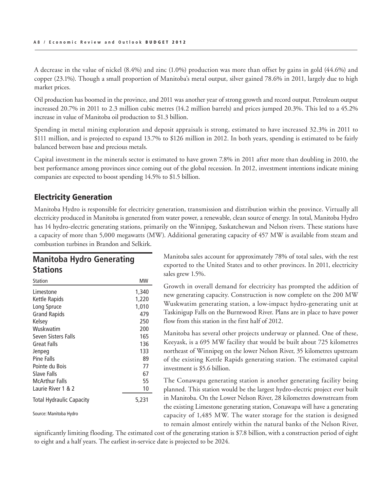A decrease in the value of nickel (8.4%) and zinc (1.0%) production was more than offset by gains in gold (44.6%) and copper (23.1%). Though a small proportion of Manitoba's metal output, silver gained 78.6% in 2011, largely due to high market prices.

Oil production has boomed in the province, and 2011 was another year of strong growth and record output. Petroleum output increased 20.7% in 2011 to 2.3 million cubic metres (14.2 million barrels) and prices jumped 20.3%. This led to a 45.2% increase in value of Manitoba oil production to \$1.3 billion.

Spending in metal mining exploration and deposit appraisals is strong, estimated to have increased 32.3% in 2011 to \$111 million, and is projected to expand 13.7% to \$126 million in 2012. In both years, spending is estimated to be fairly balanced between base and precious metals.

Capital investment in the minerals sector is estimated to have grown 7.8% in 2011 after more than doubling in 2010, the best performance among provinces since coming out of the global recession. In 2012, investment intentions indicate mining companies are expected to boost spending 14.5% to \$1.5 billion.

## Electricity Generation

Manitoba Hydro is responsible for electricity generation, transmission and distribution within the province. Virtually all electricity produced in Manitoba is generated from water power, a renewable, clean source of energy. In total, Manitoba Hydro has 14 hydro-electric generating stations, primarily on the Winnipeg, Saskatchewan and Nelson rivers. These stations have a capacity of more than 5,000 megawatts (MW). Additional generating capacity of 457 MW is available from steam and combustion turbines in Brandon and Selkirk.

## **Manitoba Hydro Generating Stations**

| <b>Station</b>                  | MW    |
|---------------------------------|-------|
| Limestone                       | 1,340 |
| Kettle Rapids                   | 1,220 |
| Long Spruce                     | 1,010 |
| <b>Grand Rapids</b>             | 479   |
| Kelsey                          | 250   |
| Wuskwatim                       | 200   |
| Seven Sisters Falls             | 165   |
| Great Falls                     | 136   |
| Jenpeg                          | 133   |
| Pine Falls                      | 89    |
| Pointe du Bois                  | 77    |
| Slave Falls                     | 67    |
| McArthur Falls                  | 55    |
| Laurie River 1 & 2              | 10    |
| <b>Total Hydraulic Capacity</b> | 5,231 |
| Source: Manitoba Hydro          |       |

Manitoba sales account for approximately 78% of total sales, with the rest exported to the United States and to other provinces. In 2011, electricity sales grew 1.5%.

Growth in overall demand for electricity has prompted the addition of new generating capacity. Construction is now complete on the 200 MW Wuskwatim generating station, a low-impact hydro-generating unit at Taskinigup Falls on the Burntwood River. Plans are in place to have power flow from this station in the first half of 2012.

Manitoba has several other projects underway or planned. One of these, Keeyask, is a 695 MW facility that would be built about 725 kilometres northeast of Winnipeg on the lower Nelson River, 35 kilometres upstream of the existing Kettle Rapids generating station. The estimated capital investment is \$5.6 billion.

The Conawapa generating station is another generating facility being planned. This station would be the largest hydro-electric project ever built in Manitoba. On the Lower Nelson River, 28 kilometres downstream from the existing Limestone generating station, Conawapa will have a generating capacity of 1,485 MW. The water storage for the station is designed to remain almost entirely within the natural banks of the Nelson River,

significantly limiting flooding. The estimated cost of the generating station is \$7.8 billion, with a construction period of eight to eight and a half years. The earliest in-service date is projected to be 2024.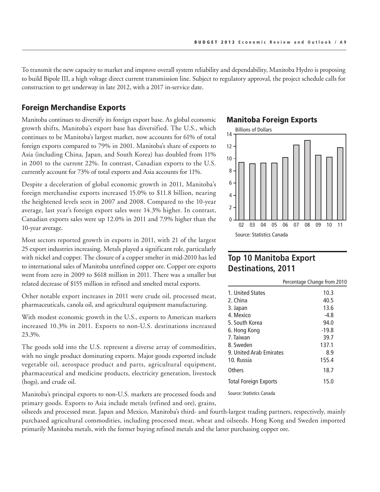To transmit the new capacity to market and improve overall system reliability and dependability, Manitoba Hydro is proposing to build Bipole III, a high voltage direct current transmission line. Subject to regulatory approval, the project schedule calls for construction to get underway in late 2012, with a 2017 in-service date.

#### Foreign Merchandise Exports

Manitoba continues to diversify its foreign export base. As global economic growth shifts, Manitoba's export base has diversified. The U.S., which continues to be Manitoba's largest market, now accounts for 61% of total foreign exports compared to 79% in 2001. Manitoba's share of exports to Asia (including China, Japan, and South Korea) has doubled from 11% in 2001 to the current 22%. In contrast, Canadian exports to the U.S. currently account for 73% of total exports and Asia accounts for 11%.

Despite a deceleration of global economic growth in 2011, Manitoba's foreign merchandise exports increased 15.0% to \$11.8 billion, nearing the heightened levels seen in 2007 and 2008. Compared to the 10-year average, last year's foreign export sales were 14.3% higher. In contrast, Canadian exports sales were up 12.0% in 2011 and 7.9% higher than the 10-year average.

Most sectors reported growth in exports in 2011, with 21 of the largest 25 export industries increasing. Metals played a significant role, particularly with nickel and copper. The closure of a copper smelter in mid-2010 has led to international sales of Manitoba unrefined copper ore. Copper ore exports went from zero in 2009 to \$618 million in 2011. There was a smaller but related decrease of \$155 million in refined and smelted metal exports.

Other notable export increases in 2011 were crude oil, processed meat, pharmaceuticals, canola oil, and agricultural equipment manufacturing.

With modest economic growth in the U.S., exports to American markets increased 10.3% in 2011. Exports to non-U.S. destinations increased 23.3%.

The goods sold into the U.S. represent a diverse array of commodities, with no single product dominating exports. Major goods exported include vegetable oil, aerospace product and parts, agricultural equipment, pharmaceutical and medicine products, electricity generation, livestock (hogs), and crude oil.

Manitoba's principal exports to non-U.S. markets are processed foods and primary goods. Exports to Asia include metals (refined and ore), grains,

#### Manitoba Foreign Exports



## **Top 10 Manitoba Export Destinations, 2011**

|                              | Percentage Change from 2010 |
|------------------------------|-----------------------------|
| 1. United States             | 10.3                        |
| 2. China                     | 40.5                        |
| 3. Japan                     | 13.6                        |
| 4. Mexico                    | $-4.8$                      |
| 5. South Korea               | 94.0                        |
| 6. Hong Kong                 | $-19.8$                     |
| 7. Taiwan                    | 39.7                        |
| 8. Sweden                    | 137.1                       |
| 9. United Arab Emirates      | 8.9                         |
| 10. Russia                   | 155.4                       |
| Others                       | 18.7                        |
| <b>Total Foreign Exports</b> | 15.0                        |
| Caussau Ctatistics Canada    |                             |

Source: Statistics Canada

oilseeds and processed meat. Japan and Mexico, Manitoba's third- and fourth-largest trading partners, respectively, mainly purchased agricultural commodities, including processed meat, wheat and oilseeds. Hong Kong and Sweden imported primarily Manitoba metals, with the former buying refined metals and the latter purchasing copper ore.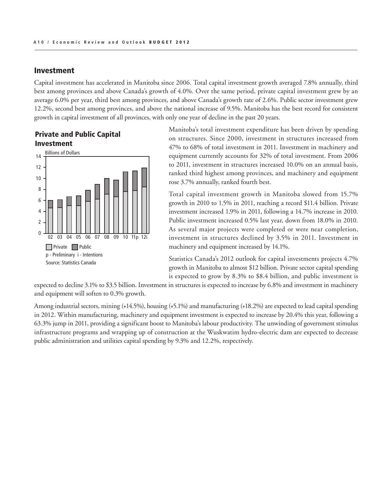#### Investment

Capital investment has accelerated in Manitoba since 2006. Total capital investment growth averaged 7.8% annually, third best among provinces and above Canada's growth of 4.0%. Over the same period, private capital investment grew by an average 6.0% per year, third best among provinces, and above Canada's growth rate of 2.6%. Public sector investment grew 12.2%, second best among provinces, and above the national increase of 9.5%. Manitoba has the best record for consistent growth in capital investment of all provinces, with only one year of decline in the past 20 years.





Manitoba's total investment expenditure has been driven by spending on structures. Since 2000, investment in structures increased from 47% to 68% of total investment in 2011. Investment in machinery and equipment currently accounts for 32% of total investment. From 2006 to 2011, investment in structures increased 10.0% on an annual basis, ranked third highest among provinces, and machinery and equipment rose 3.7% annually, ranked fourth best.

Total capital investment growth in Manitoba slowed from 15.7% growth in 2010 to 1.5% in 2011, reaching a record \$11.4 billion. Private investment increased 1.9% in 2011, following a 14.7% increase in 2010. Public investment increased 0.5% last year, down from 18.0% in 2010. As several major projects were completed or were near completion, investment in structures declined by 3.5% in 2011. Investment in machinery and equipment increased by 14.1%.

Statistics Canada's 2012 outlook for capital investments projects 4.7% growth in Manitoba to almost \$12 billion. Private sector capital spending is expected to grow by 8.3% to \$8.4 billion, and public investment is

expected to decline 3.1% to \$3.5 billion. Investment in structures is expected to increase by 6.8% and investment in machinery and equipment will soften to 0.3% growth.

Among industrial sectors, mining (+14.5%), housing (+5.1%) and manufacturing (+18.2%) are expected to lead capital spending in 2012. Within manufacturing, machinery and equipment investment is expected to increase by 20.4% this year, following a 63.3% jump in 2011, providing a significant boost to Manitoba's labour productivity. The unwinding of government stimulus infrastructure programs and wrapping up of construction at the Wuskwatim hydro-electric dam are expected to decrease public administration and utilities capital spending by 9.3% and 12.2%, respectively. Reading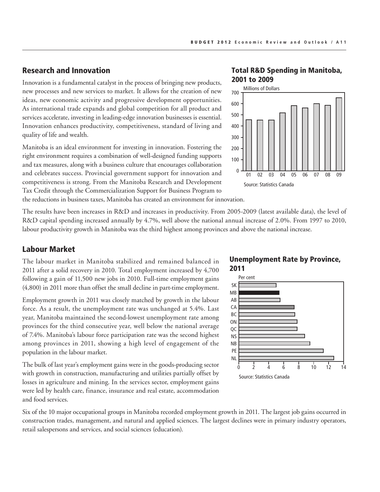## Research and Innovation

Innovation is a fundamental catalyst in the process of bringing new products, new processes and new services to market. It allows for the creation of new ideas, new economic activity and progressive development opportunities. As international trade expands and global competition for all product and services accelerate, investing in leading-edge innovation businesses is essential. Innovation enhances productivity, competitiveness, standard of living and quality of life and wealth.

Manitoba is an ideal environment for investing in innovation. Fostering the right environment requires a combination of well-designed funding supports and tax measures, along with a business culture that encourages collaboration and celebrates success. Provincial government support for innovation and competitiveness is strong. From the Manitoba Research and Development Tax Credit through the Commercialization Support for Business Program to the reductions in business taxes, Manitoba has created an environment for innovation.

The results have been increases in R&D and increases in productivity. From 2005-2009 (latest available data), the level of R&D capital spending increased annually by 4.7%, well above the national annual increase of 2.0%. From 1997 to 2010, labour productivity growth in Manitoba was the third highest among provinces and above the national increase.

#### Labour Market

The labour market in Manitoba stabilized and remained balanced in 2011 after a solid recovery in 2010. Total employment increased by 4,700 following a gain of 11,500 new jobs in 2010. Full-time employment gains (4,800) in 2011 more than offset the small decline in part-time employment.

Employment growth in 2011 was closely matched by growth in the labour force. As a result, the unemployment rate was unchanged at 5.4%. Last year, Manitoba maintained the second-lowest unemployment rate among provinces for the third consecutive year, well below the national average of 7.4%. Manitoba's labour force participation rate was the second highest among provinces in 2011, showing a high level of engagement of the population in the labour market.

The bulk of last year's employment gains were in the goods-producing sector with growth in construction, manufacturing and utilities partially offset by losses in agriculture and mining. In the services sector, employment gains were led by health care, finance, insurance and real estate, accommodation and food services.

#### Total R&D Spending in Manitoba, 2001 to 2009



## Unemployment Rate by Province, 2011



Six of the 10 major occupational groups in Manitoba recorded employment growth in 2011. The largest job gains occurred in construction trades, management, and natural and applied sciences. The largest declines were in primary industry operators, retail salespersons and services, and social sciences (education).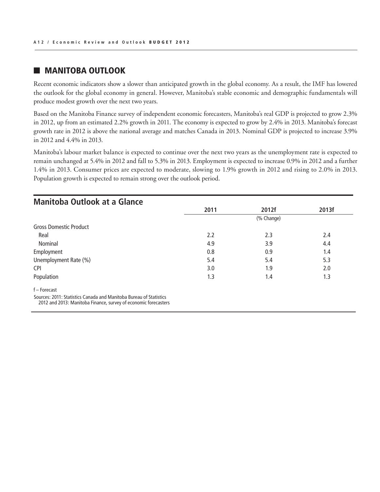## **MANITOBA OUTLOOK**

Recent economic indicators show a slower than anticipated growth in the global economy. As a result, the IMF has lowered the outlook for the global economy in general. However, Manitoba's stable economic and demographic fundamentals will produce modest growth over the next two years.

Based on the Manitoba Finance survey of independent economic forecasters, Manitoba's real GDP is projected to grow 2.3% in 2012, up from an estimated 2.2% growth in 2011. The economy is expected to grow by 2.4% in 2013. Manitoba's forecast growth rate in 2012 is above the national average and matches Canada in 2013. Nominal GDP is projected to increase 3.9% in 2012 and 4.4% in 2013.

Manitoba's labour market balance is expected to continue over the next two years as the unemployment rate is expected to remain unchanged at 5.4% in 2012 and fall to 5.3% in 2013. Employment is expected to increase 0.9% in 2012 and a further 1.4% in 2013. Consumer prices are expected to moderate, slowing to 1.9% growth in 2012 and rising to 2.0% in 2013. Population growth is expected to remain strong over the outlook period.

| <b>Manitoba Outlook at a Glance</b>                                                                                                   |      |            |       |
|---------------------------------------------------------------------------------------------------------------------------------------|------|------------|-------|
|                                                                                                                                       | 2011 | 2012f      | 2013f |
|                                                                                                                                       |      | (% Change) |       |
| <b>Gross Domestic Product</b>                                                                                                         |      |            |       |
| Real                                                                                                                                  | 2.2  | 2.3        | 2.4   |
| Nominal                                                                                                                               | 4.9  | 3.9        | 4.4   |
| Employment                                                                                                                            | 0.8  | 0.9        | 1.4   |
| Unemployment Rate (%)                                                                                                                 | 5.4  | 5.4        | 5.3   |
| <b>CPI</b>                                                                                                                            | 3.0  | 1.9        | 2.0   |
| Population                                                                                                                            | 1.3  | 1.4        | 1.3   |
| f-Forecast                                                                                                                            |      |            |       |
| Sources: 2011: Statistics Canada and Manitoba Bureau of Statistics<br>2012 and 2013: Manitoba Finance, survey of economic forecasters |      |            |       |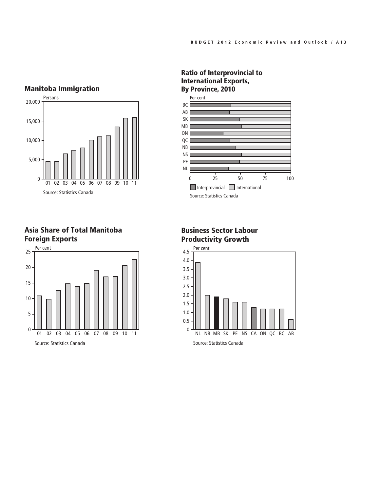#### Manitoba Immigration



Asia Share of Total Manitoba Foreign Exports



#### Ratio of Interprovincial to International Exports, By Province, 2010



## Business Sector Labour Productivity Growth

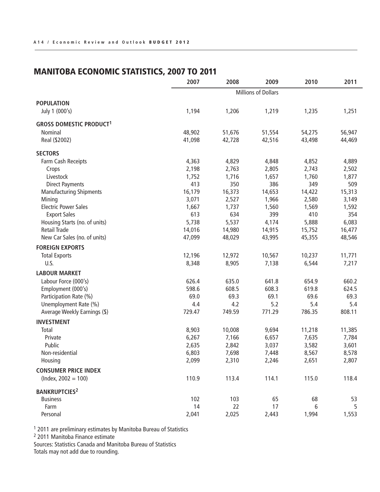## MANITOBA ECONOMIC STATISTICS, 2007 TO 2011

|                                           | 2007                       | 2008   | 2009   | 2010   | 2011   |
|-------------------------------------------|----------------------------|--------|--------|--------|--------|
|                                           | <b>Millions of Dollars</b> |        |        |        |        |
| <b>POPULATION</b>                         |                            |        |        |        |        |
| July 1 (000's)                            | 1,194                      | 1,206  | 1,219  | 1,235  | 1,251  |
| <b>GROSS DOMESTIC PRODUCT<sup>1</sup></b> |                            |        |        |        |        |
| Nominal                                   | 48,902                     | 51,676 | 51,554 | 54,275 | 56,947 |
| Real (\$2002)                             | 41,098                     | 42,728 | 42,516 | 43,498 | 44,469 |
| <b>SECTORS</b>                            |                            |        |        |        |        |
| Farm Cash Receipts                        | 4,363                      | 4,829  | 4,848  | 4,852  | 4,889  |
| Crops                                     | 2,198                      | 2,763  | 2,805  | 2,743  | 2,502  |
| Livestock                                 | 1,752                      | 1,716  | 1,657  | 1,760  | 1,877  |
| <b>Direct Payments</b>                    | 413                        | 350    | 386    | 349    | 509    |
| <b>Manufacturing Shipments</b>            | 16,179                     | 16,373 | 14,653 | 14,422 | 15,313 |
| Mining                                    | 3,071                      | 2,527  | 1,966  | 2,580  | 3,149  |
| <b>Electric Power Sales</b>               | 1,667                      | 1,737  | 1,560  | 1,569  | 1,592  |
| <b>Export Sales</b>                       | 613                        | 634    | 399    | 410    | 354    |
| Housing Starts (no. of units)             | 5,738                      | 5,537  | 4,174  | 5,888  | 6,083  |
| <b>Retail Trade</b>                       | 14,016                     | 14,980 | 14,915 | 15,752 | 16,477 |
| New Car Sales (no. of units)              | 47,099                     | 48,029 | 43,995 | 45,355 | 48,546 |
| <b>FOREIGN EXPORTS</b>                    |                            |        |        |        |        |
| <b>Total Exports</b>                      | 12,196                     | 12,972 | 10,567 | 10,237 | 11,771 |
| U.S.                                      | 8,348                      | 8,905  | 7,138  | 6,544  | 7,217  |
| <b>LABOUR MARKET</b>                      |                            |        |        |        |        |
| Labour Force (000's)                      | 626.4                      | 635.0  | 641.8  | 654.9  | 660.2  |
| Employment (000's)                        | 598.6                      | 608.5  | 608.3  | 619.8  | 624.5  |
| Participation Rate (%)                    | 69.0                       | 69.3   | 69.1   | 69.6   | 69.3   |
| Unemployment Rate (%)                     | 4.4                        | 4.2    | 5.2    | 5.4    | 5.4    |
| Average Weekly Earnings (\$)              | 729.47                     | 749.59 | 771.29 | 786.35 | 808.11 |
| <b>INVESTMENT</b>                         |                            |        |        |        |        |
| Total                                     | 8,903                      | 10,008 | 9,694  | 11,218 | 11,385 |
| Private                                   | 6,267                      | 7,166  | 6,657  | 7,635  | 7,784  |
| Public                                    | 2,635                      | 2,842  | 3,037  | 3,582  | 3,601  |
| Non-residential                           | 6,803                      | 7,698  | 7,448  | 8,567  | 8,578  |
| Housing                                   | 2,099                      | 2,310  | 2,246  | 2,651  | 2,807  |
| <b>CONSUMER PRICE INDEX</b>               |                            |        |        |        |        |
| $(hdev, 2002 = 100)$                      | 110.9                      | 113.4  | 114.1  | 115.0  | 118.4  |
| <b>BANKRUPTCIES2</b>                      |                            |        |        |        |        |
| <b>Business</b>                           | 102                        | 103    | 65     | 68     | 53     |
| Farm                                      | 14                         | 22     | 17     | 6      | 5      |
| Personal                                  | 2,041                      | 2,025  | 2,443  | 1,994  | 1,553  |

<sup>1</sup> 2011 are preliminary estimates by Manitoba Bureau of Statistics

<sup>2</sup> 2011 Manitoba Finance estimate

Sources: Statistics Canada and Manitoba Bureau of Statistics Totals may not add due to rounding.